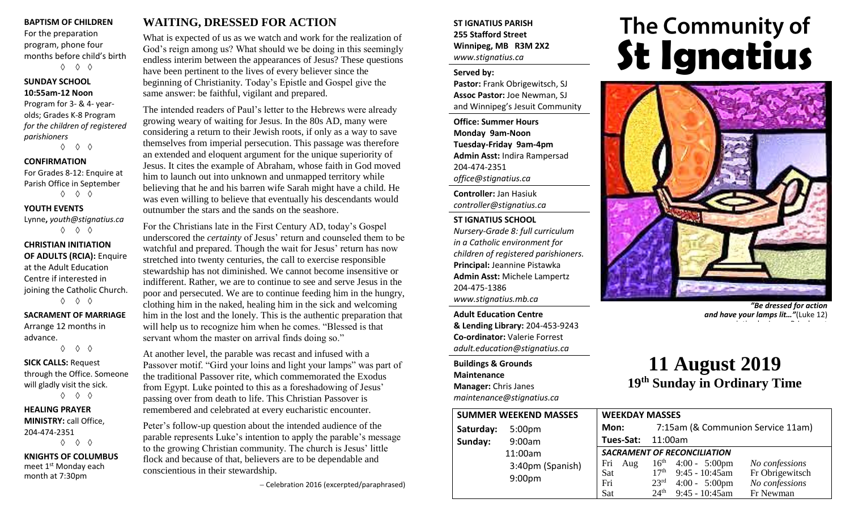#### **BAPTISM OF CHILDREN**

For the preparation program, phone four months before child's birth ◊ ◊ ◊

#### **SUNDAY SCHOOL 10:55am-12 Noon**

Program for 3- & 4- yearolds; Grades K-8 Program *for the children of registered parishioners*

◊ ◊ ◊

#### **CONFIRMATION**

For Grades 8-12: Enquire at Parish Office in September ◊ ◊ ◊

#### **YOUTH EVENTS**

Lynne**,** *youth@stignatius.ca* ◊ ◊ ◊

#### **CHRISTIAN INITIATION OF ADULTS (RCIA):** Enquire at the Adult Education Centre if interested in joining the Catholic Church. ◊ ◊ ◊

### **SACRAMENT OF MARRIAGE** Arrange 12 months in

advance. ◊ ◊ ◊

#### **SICK CALLS:** Request through the Office. Someone will gladly visit the sick. ◊ ◊ ◊

**HEALING PRAYER MINISTRY:** call Office, 204-474-2351 ◊ ◊ ◊

**KNIGHTS OF COLUMBUS** meet 1<sup>st</sup> Monday each month at 7:30pm

# **WAITING, DRESSED FOR ACTION**

What is expected of us as we watch and work for the realization of God's reign among us? What should we be doing in this seemingly endless interim between the appearances of Jesus? These questions have been pertinent to the lives of every believer since the beginning of Christianity. Today's Epistle and Gospel give the same answer: be faithful, vigilant and prepared.

The intended readers of Paul's letter to the Hebrews were already growing weary of waiting for Jesus. In the 80s AD, many were considering a return to their Jewish roots, if only as a way to save themselves from imperial persecution. This passage was therefore an extended and eloquent argument for the unique superiority of Jesus. It cites the example of Abraham, whose faith in God moved him to launch out into unknown and unmapped territory while believing that he and his barren wife Sarah might have a child. He was even willing to believe that eventually his descendants would outnumber the stars and the sands on the seashore.

For the Christians late in the First Century AD, today's Gospel underscored the *certainty* of Jesus' return and counseled them to be watchful and prepared. Though the wait for Jesus' return has now stretched into twenty centuries, the call to exercise responsible stewardship has not diminished. We cannot become insensitive or indifferent. Rather, we are to continue to see and serve Jesus in the poor and persecuted. We are to continue feeding him in the hungry, clothing him in the naked, healing him in the sick and welcoming him in the lost and the lonely. This is the authentic preparation that will help us to recognize him when he comes. "Blessed is that servant whom the master on arrival finds doing so."

At another level, the parable was recast and infused with a Passover motif. "Gird your loins and light your lamps" was part of the traditional Passover rite, which commemorated the Exodus from Egypt. Luke pointed to this as a foreshadowing of Jesus' passing over from death to life. This Christian Passover is remembered and celebrated at every eucharistic encounter.

Peter's follow-up question about the intended audience of the parable represents Luke's intention to apply the parable's message to the growing Christian community. The church is Jesus' little flock and because of that, believers are to be dependable and conscientious in their stewardship.

− Celebration 2016 (excerpted/paraphrased)

#### **ST IGNATIUS PARISH 255 Stafford Street Winnipeg, MB R3M 2X2** *www.stignatius.ca*

#### **Served by:**

**Pastor:** Frank Obrigewitsch, SJ **Assoc Pastor:** Joe Newman, SJ and Winnipeg's Jesuit Community

**Office: Summer Hours Monday 9am-Noon Tuesday-Friday 9am-4pm Admin Asst:** Indira Rampersad 204-474-2351 *office@stignatius.ca*

**Controller:** Jan Hasiuk *controller@stignatius.ca*

#### **ST IGNATIUS SCHOOL**

*Nursery-Grade 8: full curriculum in a Catholic environment for children of registered parishioners.* **Principal:** Jeannine Pistawka **Admin Asst:** Michele Lampertz 204-475-1386 *www.stignatius.mb.ca*

**Adult Education Centre & Lending Library:** 204-453-9243 **Co-ordinator:** Valerie Forrest *adult.education@stignatius.ca*

**Buildings & Grounds Maintenance Manager:** Chris Janes *maintenance@stignatius.ca*

# The Community of<br>**St Ignatius**



*"Be dressed for action and have your lamps lit…"*(Luke 12) painting by James B Janknegt

# **11 August 2019 19 th Sunday in Ordinary Time**

| <b>SUMMER WEEKEND MASSES</b> |                    | <b>WEEKDAY MASSES</b>              |                  |                                              |                                   |
|------------------------------|--------------------|------------------------------------|------------------|----------------------------------------------|-----------------------------------|
| Saturday:                    | 5:00 <sub>pm</sub> | Mon:                               |                  | 7:15am (& Communion Service 11am)            |                                   |
| Sunday:                      | 9:00am             | Tues-Sat:                          | 11:00am          |                                              |                                   |
|                              | 11:00am            | <b>SACRAMENT OF RECONCILIATION</b> |                  |                                              |                                   |
|                              | 3:40pm (Spanish)   | Fri<br>Aug                         | 17 <sup>th</sup> | $16^{\text{th}}$ 4:00 - 5:00pm               | No confessions                    |
|                              | 9:00 <sub>pm</sub> | Sat<br>Fri                         | 23 <sup>rd</sup> | $9:45 - 10:45$ am<br>$4:00 - 5:00 \text{pm}$ | Fr Obrigewitsch<br>No confessions |
|                              |                    | Sat                                | $24^{\text{th}}$ | $9:45 - 10:45$ am                            | Fr Newman                         |